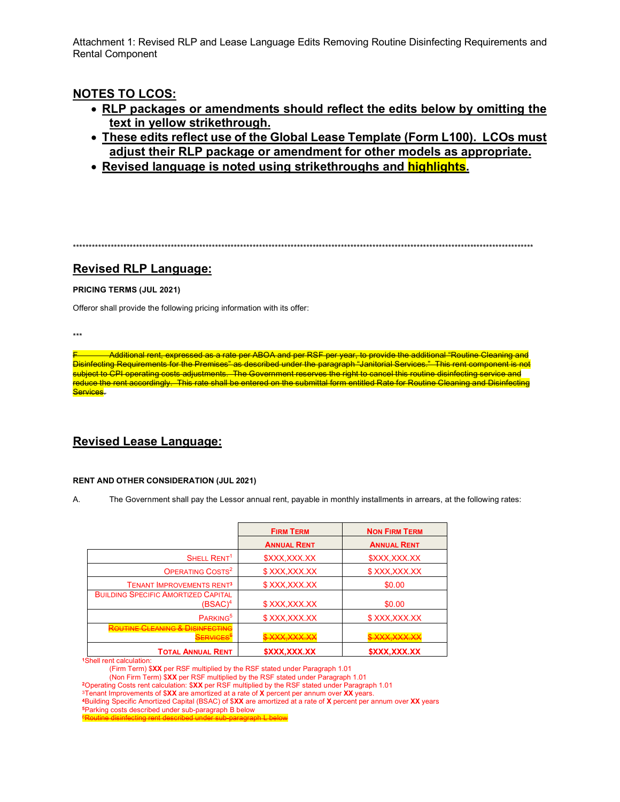Attachment 1: Revised RLP and Lease Language Edits Removing Routine Disinfecting Requirements and **Rental Component** 

# **NOTES TO LCOS:**

- . RLP packages or amendments should reflect the edits below by omitting the text in yellow strikethrough.
- These edits reflect use of the Global Lease Template (Form L100). LCOs must adjust their RLP package or amendment for other models as appropriate.
- Revised language is noted using strikethroughs and **highlights**.

## **Revised RLP Language:**

### PRICING TERMS (JUL 2021)

Offeror shall provide the following pricing information with its offer:

 $***$ 

Additional rent, expressed as a rate per ABOA and per RSF per year, to provide the additional "Routine Cleaning and Disinfecting Requirements for the Premises" as described under the paragraph "Janitorial Services." This rent component is not subject to CPI operating costs adjustments. The Government reserves the right to cancel this routine disinfecting service and reduce the rent accordingly. This rate shall be entered on the submittal form entitled Rate for Routine Cleaning and Disinfecting Services.

# **Revised Lease Language:**

## **RENT AND OTHER CONSIDERATION (JUL 2021)**

Α. The Government shall pay the Lessor annual rent, payable in monthly installments in arrears, at the following rates:

|                                                                     | <b>FIRM TERM</b>          | <b>NON FIRM TERM</b>                              |
|---------------------------------------------------------------------|---------------------------|---------------------------------------------------|
|                                                                     | <b>ANNUAL RENT</b>        | <b>ANNUAL RENT</b>                                |
| SHELL RENT <sup>1</sup>                                             | \$XXX, XXX.XX             | \$XXX, XXX.XX                                     |
| OPERATING COSTS <sup>2</sup>                                        | \$XXX,XXX.XX              | \$XXX,XXX.XX                                      |
| <b>TENANT IMPROVEMENTS RENT3</b>                                    | \$XXX,XXX.XX              | \$0.00                                            |
| <b>BUILDING SPECIFIC AMORTIZED CAPITAL</b><br>$(BSAC)^4$            | \$XXX,XXX.XX              | \$0.00                                            |
| PARKING <sup>5</sup>                                                | \$XXX.XXX.XX              | \$XXX.XXX.XX                                      |
| <b>BOLITINE CLEANING &amp; DISINFECTING</b><br><del>SERVICES"</del> | <del>\$XXX,XXX.XX</del>   | <b>VYY YYY YY</b><br><del>᠉᠈ᡣ᠕ᢦ᠊ᡳᡒᡃᠢᢞᡳᢞᡳᠵᡃᠢ</del> |
| <b>TOTAL ANNUAL RENT</b>                                            | <b><i>SXXX.XXX.XX</i></b> | <b><i>SXXX.XXX.XX</i></b>                         |

<sup>1</sup>Shell rent calculation:

2Operating Costs rent calculation: \$XX per RSF multiplied by the RSF stated under Paragraph 1.01

3Tenant Improvements of \$XX are amortized at a rate of X percent per annum over XX years.

4Building Specific Amortized Capital (BSAC) of \$XX are amortized at a rate of X percent per annum over XX years <sup>5</sup>Parking costs described under sub-paragraph B below

<sup>(</sup>Firm Term) \$XX per RSF multiplied by the RSF stated under Paragraph 1.01

<sup>(</sup>Non Firm Term) \$XX per RSF multiplied by the RSF stated under Paragraph 1.01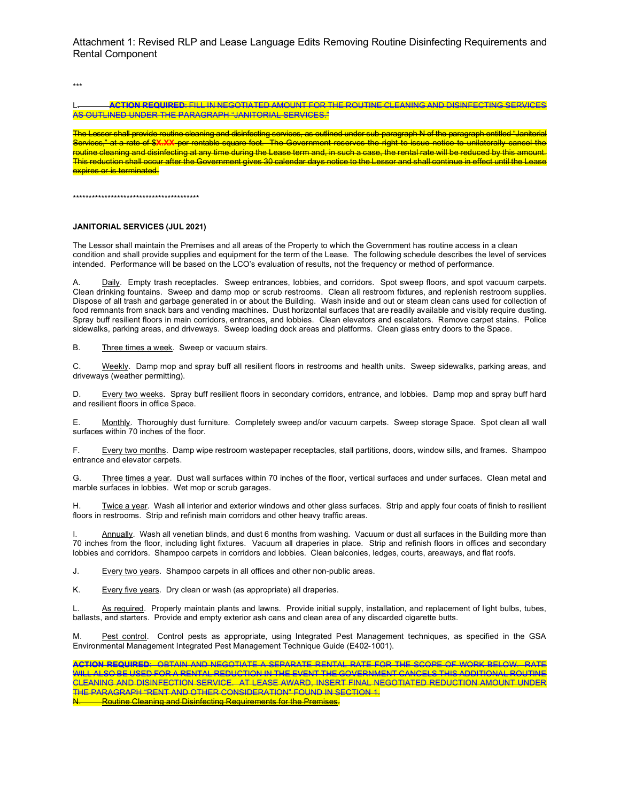Attachment 1: Revised RLP and Lease Language Edits Removing Routine Disinfecting Requirements and Rental Component

\*\*\*

### L. **ACTION REQUIRED**: FILL IN NEGOTIATED AMOUNT FOR THE ROUTINE CLEANING AND DISINFECTING SERVICES AS OUTLINED UNDER THE PARAGRAPH "JANITORIAL SERVICES."

The Lessor shall provide routine cleaning and disinfecting services, as outlined under sub-paragraph N of the paragraph entitled "Janitorial Services," at a rate of \$**X.XX** per rentable square foot. The Government reserves the right to issue notice to unilaterally cancel the routine cleaning and disinfecting at any time during the Lease term and, in such a case, the rental rate will be reduced by this amount. This reduction shall occur after the Government gives 30 calendar days notice to the Lessor and shall continue in effect until the Lease expires or is terminated.

\*\*\*\*\*\*\*\*\*\*\*\*\*\*\*\*\*\*\*\*\*\*\*\*\*\*\*\*\*\*\*\*\*\*\*\*\*\*\*\*

#### **JANITORIAL SERVICES (JUL 2021)**

The Lessor shall maintain the Premises and all areas of the Property to which the Government has routine access in a clean condition and shall provide supplies and equipment for the term of the Lease. The following schedule describes the level of services intended. Performance will be based on the LCO's evaluation of results, not the frequency or method of performance.

Daily. Empty trash receptacles. Sweep entrances, lobbies, and corridors. Spot sweep floors, and spot vacuum carpets. Clean drinking fountains. Sweep and damp mop or scrub restrooms. Clean all restroom fixtures, and replenish restroom supplies. Dispose of all trash and garbage generated in or about the Building. Wash inside and out or steam clean cans used for collection of food remnants from snack bars and vending machines. Dust horizontal surfaces that are readily available and visibly require dusting. Spray buff resilient floors in main corridors, entrances, and lobbies. Clean elevators and escalators. Remove carpet stains. Police sidewalks, parking areas, and driveways. Sweep loading dock areas and platforms. Clean glass entry doors to the Space.

B. Three times a week. Sweep or vacuum stairs.

C. Weekly. Damp mop and spray buff all resilient floors in restrooms and health units. Sweep sidewalks, parking areas, and driveways (weather permitting).

D. Every two weeks. Spray buff resilient floors in secondary corridors, entrance, and lobbies. Damp mop and spray buff hard and resilient floors in office Space.

E. Monthly. Thoroughly dust furniture. Completely sweep and/or vacuum carpets. Sweep storage Space. Spot clean all wall surfaces within 70 inches of the floor.

F. Every two months. Damp wipe restroom wastepaper receptacles, stall partitions, doors, window sills, and frames. Shampoo entrance and elevator carpets.

G. Three times a year. Dust wall surfaces within 70 inches of the floor, vertical surfaces and under surfaces. Clean metal and marble surfaces in lobbies. Wet mop or scrub garages.

H. Twice a year. Wash all interior and exterior windows and other glass surfaces. Strip and apply four coats of finish to resilient floors in restrooms. Strip and refinish main corridors and other heavy traffic areas.

Annually. Wash all venetian blinds, and dust 6 months from washing. Vacuum or dust all surfaces in the Building more than 70 inches from the floor, including light fixtures. Vacuum all draperies in place. Strip and refinish floors in offices and secondary lobbies and corridors. Shampoo carpets in corridors and lobbies. Clean balconies, ledges, courts, areaways, and flat roofs.

J. Every two years. Shampoo carpets in all offices and other non-public areas.

K. Every five years. Dry clean or wash (as appropriate) all draperies.

L. As required. Properly maintain plants and lawns. Provide initial supply, installation, and replacement of light bulbs, tubes, ballasts, and starters. Provide and empty exterior ash cans and clean area of any discarded cigarette butts.

M. Pest control. Control pests as appropriate, using Integrated Pest Management techniques, as specified in the GSA Environmental Management Integrated Pest Management Technique Guide (E402-1001).

**ACTION REQUIRED**: OBTAIN AND NEGOTIATE A SEPARATE RENTAL RATE FOR THE SCOPE OF WORK BELOW. RATE WILL ALSO BE USED FOR A RENTAL REDUCTION IN THE EVENT THE GOVERNMENT CANCELS THIS ADDITIONAL ROUTINE CLEANING AND DISINFECTION SERVICE. AT LEASE AWARD, INSERT FINAL NEGOTIATED REDUCTION AMOUNT UNDER THE PARAGRAPH "RENT AND OTHER CONSIDERATION" FOUND IN SECTION 1.

**Routine Cleaning and Disinfecting Requirements for the Premises.**